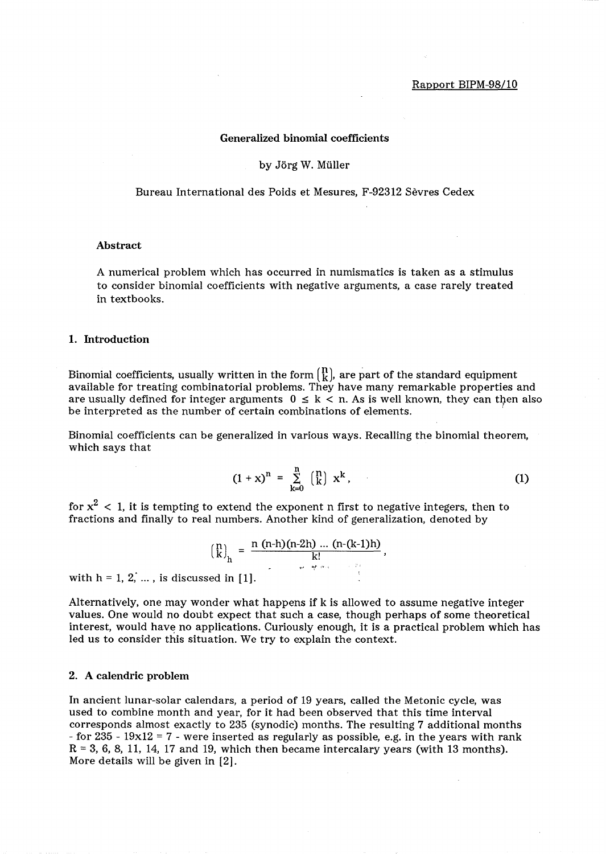# Generalized binomial coefficients

## by Jörg W. Müller

Bureau International des Poids et Mesures, F-92312 Sevres Cedex

#### Abstract

A numerical problem which has occurred in numismatics is taken as a stimulus to consider binomial coefficients with negative arguments, a case rarely treated in textbooks.

#### 1. Introduction

Binomial coefficients, usually written in the form  $\begin{bmatrix} 1 \\ k \end{bmatrix}$ , are part of the standard equipment available for treating combinatorial problems. They have many remarkable properties and are usually defined for integer arguments  $0 \leq k < n$ . As is well known, they can then also be interpreted as the number of certain combinations of elements.

Binomial coefficients can be generalized in various ways. Recalling the binomial theorem, which says that

$$
(1+x)^n = \sum_{k=0}^n {n \choose k} x^k,
$$
 (1)

for  $\mathrm{x}^2\,<\,1$ , it is tempting to extend the exponent n first to negative integers, then to fractions and finally to real numbers. Another kind of generalization, denoted by

$$
{n \choose k}_h = \frac{n (n-h)(n-2h) ... (n-(k-1)h)}{k!},
$$

with  $h = 1, 2, \ldots$ , is discussed in [1].

Alternatively, one may wonder what happens if k is allowed to assume negative integer values. One would no doubt expect that such a case, though perhaps of some theoretical interest, would have no applications. Curiously enough, it is a practical problem which has led us to consider this situation. We try to explain the context.

### 2. A calendric problem

In ancient lunar-solar calendars, a period of 19 years, called the Metonic cycle, was used to combine month and year, for it had been observed that this time interval corresponds almost exactly to 235 (synodic) months. The resulting 7 additional months - for 235 -  $19x12 = 7$  - were inserted as regularly as possible, e.g. in the years with rank  $R = 3, 6, 8, 11, 14, 17$  and 19, which then became intercalary years (with 13 months). More details will be given in [2].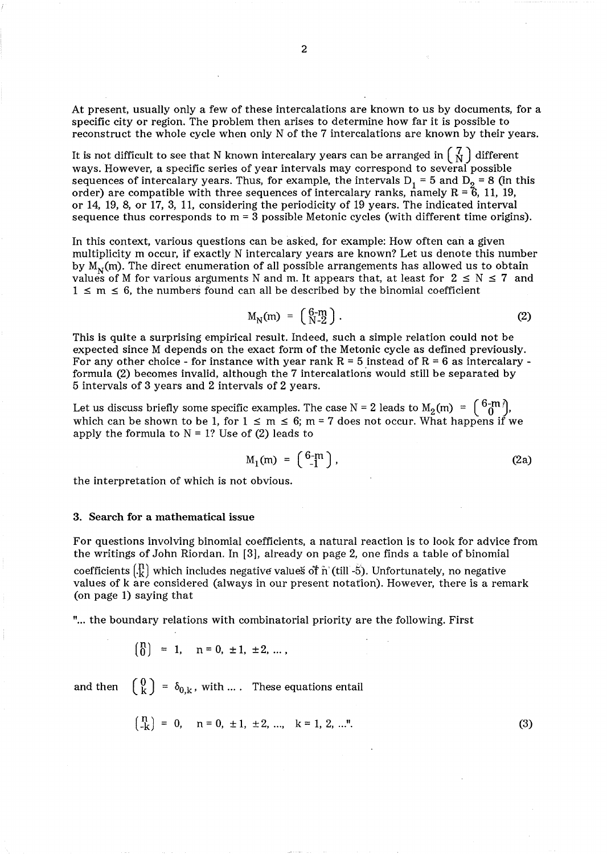At present, usually only a few of these intercalations are known to us by documents, for a specific city or region. The problem then arises to determine how far it is possible to reconstruct the whole cycle when only N of the 7 intercalations are known by their years.

It is not difficult to see that N known intercalary years can be arranged in  $\begin{pmatrix} 7 \\ N \end{pmatrix}$  different ways. However, a specific series of year intervals may correspond to several possible sequences of intercalary years. Thus, for example, the intervals D<sub>1</sub> = 5 and D<sub>2</sub> = 8 (in this order) are compatible with three sequences of intercalary ranks, namely  $R = 6$ , 11, 19, or 14, 19, 8, or 17, 3, 11, considering the periodicity of 19 years. The indicated interval sequence thus corresponds to  $m = 3$  possible Metonic cycles (with different time origins).

In this context, various questions can be asked, for example: How often can a given multiplicity m occur, if exactly N intercalary years are known? Let us denote this number by  $M_N(m)$ . The direct enumeration of all possible arrangements has allowed us to obtain values of M for various arguments N and m. It appears that, at least for  $2 \le N \le 7$  and  $1 \le m \le 6$ , the numbers found can all be described by the binomial coefficient

$$
M_N(m) = \begin{pmatrix} 6-m \\ N-2 \end{pmatrix}.
$$
 (2)

This is quite a surprising empirical result. Indeed, such a simple relation could not be expected since M depends on the exact form of the Metonic cycle as defined previously. For any other choice - for instance with year rank  $R = 5$  instead of  $R = 6$  as intercalary formula (2) becomes invalid, although the 7 intercalations would still be separated by 5 intervals of 3 years and 2 intervals of 2 years.

Let us discuss briefly some specific examples. The case N = 2 leads to  $M_2(m) = \begin{bmatrix} 0 & -m \\ 0 & n \end{bmatrix}$ , which can be shown to be 1, for  $1 \le m \le 6$ ; m = 7 does not occur. What happens if we apply the formula to  $N = 1$ ? Use of (2) leads to

$$
M_1(m) = \begin{pmatrix} 6-m \\ -1 \end{pmatrix}, \tag{2a}
$$

the interpretation of which is not obvious.

#### 3. Search for a mathematical issue

For questions involving binomial coefficients, a natural reaction is to look for advice from the writings of John Riordan. In [3], already on page 2, one finds a table of binomial coefficients  $\binom{\bm{\mathsf{n}}}{\bm{\mathsf{k}}}$  which includes negative valueš ot $\hat{\bm{\mathsf{n}}}$  (till -5). Unfortunately, no negative values of k are considered (always in our present notation). However, there is a remark (on page 1) saying that

" ... the boundary relations with combinatorial priority are the following. First

$$
\begin{pmatrix} n \\ 0 \end{pmatrix} = 1, \quad n = 0, \pm 1, \pm 2, \ldots,
$$

and then  $\begin{pmatrix} 0 \\ k \end{pmatrix} = \delta_{0,k}$ , with .... These equations entail

$$
\begin{pmatrix} n \\ -k \end{pmatrix} = 0, \quad n = 0, \pm 1, \pm 2, \dots, \quad k = 1, 2, \dots". \tag{3}
$$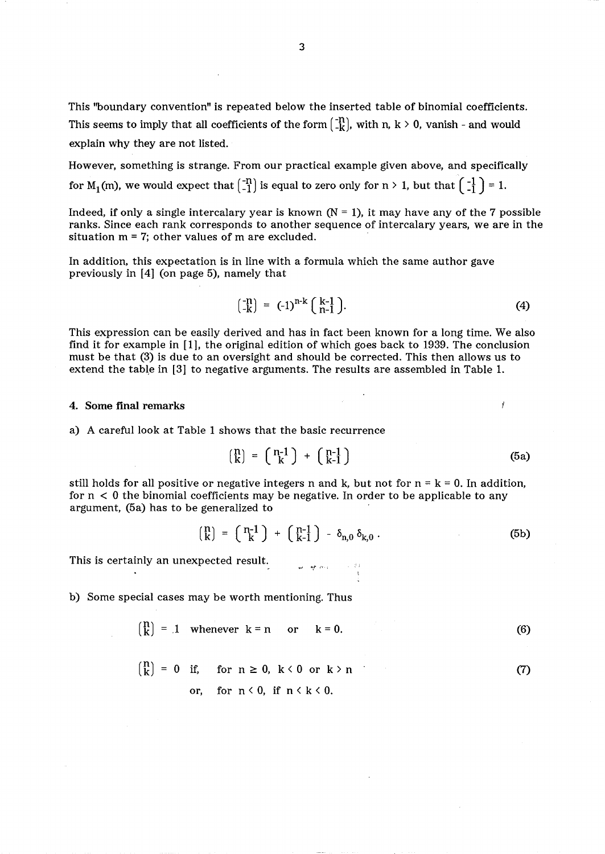This ''boundary convention" is repeated below the inserted table of binomial coefficients. This seems to imply that all coefficients of the form  $\begin{bmatrix} -n \\ -k \end{bmatrix}$ , with n, k > 0, vanish - and would explain why they are not listed.

However, something is strange. From our practical example given above, and specifically for  $M_1(m)$ , we would expect that  $\begin{pmatrix} -n \\ -1 \end{pmatrix}$  is equal to zero only for  $n > 1$ , but that  $\begin{pmatrix} -1 \\ -1 \end{pmatrix} = 1$ .

Indeed, if only a single intercalary year is known  $(N = 1)$ , it may have any of the 7 possible ranks. Since each rank corresponds to another sequence of intercalary years, we are in the situation  $m = 7$ ; other values of  $m$  are excluded.

In addition, this expectation is in line with a formula which the same author gave previously in [4] (on page 5), namely that

$$
\begin{pmatrix} -n \\ -k \end{pmatrix} = (-1)^{n-k} \begin{pmatrix} k-1 \\ n-1 \end{pmatrix}.
$$
 (4)

This expression can be easily derived and has in fact been known for a long time. We also find it for example in [1], the original edition of which goes back to 1939. The conclusion must be that (3) is due to an oversight and should be corrected. This then allows us to extend the table in [3] to negative arguments. The results are assembled in Table 1.

### 4. Some final remarks

a) A careful look at Table 1 shows that the basic recurrence

$$
\begin{pmatrix} n \\ k \end{pmatrix} = \begin{pmatrix} n-1 \\ k \end{pmatrix} + \begin{pmatrix} n-1 \\ k-1 \end{pmatrix} \tag{5a}
$$

Ĭ

still holds for all positive or negative integers n and k, but not for  $n = k = 0$ . In addition, for  $n < 0$  the binomial coefficients may be negative. In order to be applicable to any argument, (5a) has to be generalized to

$$
\begin{pmatrix} n \\ k \end{pmatrix} = \begin{pmatrix} n-1 \\ k \end{pmatrix} + \begin{pmatrix} n-1 \\ k-1 \end{pmatrix} - \delta_{n,0} \delta_{k,0} . \tag{5b}
$$

This is certainly an unexpected result.

b) Some special cases may be worth mentioning. Thus

$$
\begin{pmatrix} n \\ k \end{pmatrix} = 1 \quad \text{whenever} \quad k = n \quad \text{or} \quad k = 0. \tag{6}
$$

$$
{n \choose k} = 0 \quad \text{if,} \quad \text{for} \quad n \ge 0, \quad k < 0 \quad \text{or} \quad k > n \tag{7}
$$
\n
$$
\text{or,} \quad \text{for} \quad n < 0, \quad \text{if} \quad n < k < 0.
$$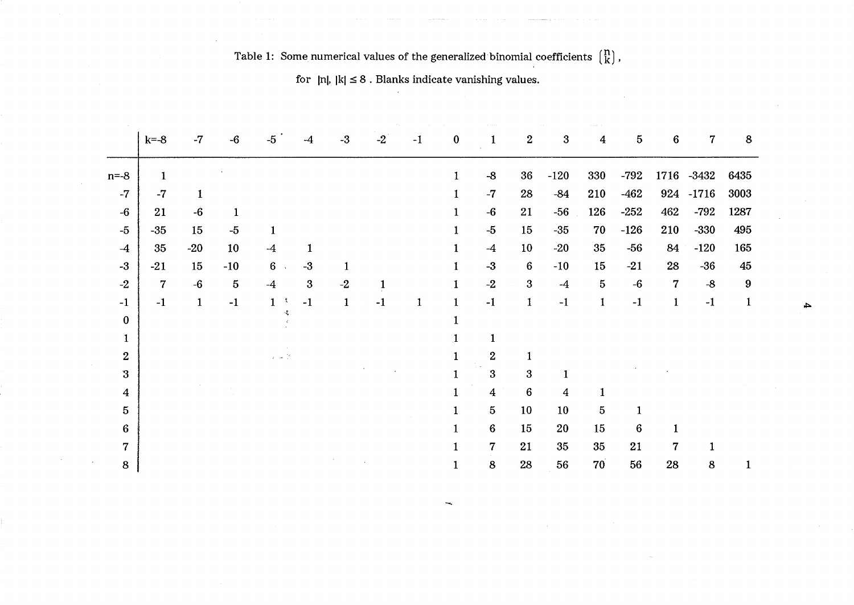|                  | $k=-8$         | $-7$         | $-6$            | $-5$                                                   | $-4$     | $-3$         | $-2$ | $-1$ | $\bf{0}$     |                        | $\boldsymbol{2}$ | 3              | 4               | $\overline{5}$ | $\bf 6$          | $\mathbf 7$ | 8            |
|------------------|----------------|--------------|-----------------|--------------------------------------------------------|----------|--------------|------|------|--------------|------------------------|------------------|----------------|-----------------|----------------|------------------|-------------|--------------|
| $n=-8$           | 1              |              |                 |                                                        |          |              |      |      | 1            | $-8$                   | 36               | $-120$         | 330             | $-792$         |                  | 1716 -3432  | 6435         |
| $-7$             | $-7$           | 1            |                 |                                                        |          |              |      |      |              | $-7$                   | 28               | $-84$          | 210             | $-462$         |                  | 924 -1716   | 3003         |
| $-6$             | 21             | $-6$         | $\mathbf 1$     |                                                        |          |              |      |      | 1            | $-6$                   | 21               | $-56$          | 126             | $-252$         | 462              | $-792$      | 1287         |
| $-5$             | $-35$          | 15           | $-5$            | 1                                                      |          |              |      |      | 1            | $-5$                   | 15               | $-35$          | 70              | $-126$         | 210              | $-330$      | 495          |
| $-4$             | 35             | $-20$        | 10              | $-4$                                                   | 1        |              |      |      | 1            | $-4$                   | 10               | $-20$          | 35              | $-56$          | 84               | $-120$      | 165          |
| $-3$             | $-21$          | 15           | $-10$           | $6\phantom{.}$                                         | $-3$     | 1            |      |      | 1            | $-3$                   | $6\phantom{.}6$  | $-10$          | 15              | $-21$          | 28               | $-36$       | 45           |
| $-2$             | $\overline{7}$ | $-6$         | $5\phantom{.0}$ | $-4$                                                   | $\bf{3}$ | $-2$         |      |      | 1            | $-2$                   | 3                | $-4$           | $\mathbf{5}$    | $-6$           | $\boldsymbol{7}$ | $-8$        | 9            |
| $-1$             | $-1$           | $\mathbf{1}$ | $-1$            | $\mathbf{1}$<br>x                                      | $-1$     | $\mathbf{1}$ | $-1$ | 1    | $\mathbf{1}$ | $-1$                   | $\mathbf{1}$     | $-1$           | $\mathbf{1}$    | $^{\rm -1}$    | $\mathbf{1}$     | $-1$        | $\mathbf{1}$ |
| $\bf{0}$         |                |              |                 | -1,                                                    |          |              |      |      |              |                        |                  |                |                 |                |                  |             |              |
| $\mathbf{1}$     |                |              |                 |                                                        |          |              |      |      | 1            | $\mathbf{1}$           |                  |                |                 |                |                  |             |              |
| $\overline{2}$   |                |              |                 | $\chi = \frac{1}{2} \omega_0 - \frac{1}{2} \omega_0^2$ |          |              |      |      | $\mathbf{1}$ | $\boldsymbol{2}$<br>G. | $\mathbf{1}$     |                |                 |                |                  |             |              |
| $\boldsymbol{3}$ |                |              |                 |                                                        |          |              |      |      |              | $\mathbf{3}$           | $\boldsymbol{3}$ | $\mathbf{1}$   |                 |                |                  |             |              |
| $\bf{4}$         |                |              |                 |                                                        |          |              |      |      | 1            | $\boldsymbol{4}$       | $\bf 6$          | $\overline{4}$ | 1               |                |                  |             |              |
| 5                |                |              |                 |                                                        |          |              |      |      | 1            | $5\overline{)}$        | 10               | 10             | $\overline{5}$  | $\mathbf{1}$   |                  |             |              |
| $6\phantom{.}6$  |                |              |                 |                                                        |          |              |      |      | 1            | $6\phantom{.}6$        | 15               | 20             | 15              | $\bf 6$        |                  |             |              |
| $\overline{7}$   |                |              |                 |                                                        |          |              |      |      |              | $\overline{7}$         | 21               | 35             | 35              | 21             | 7                |             |              |
| 8                |                |              |                 |                                                        |          |              |      |      |              | 8                      | 28               | 56             | 70 <sup>7</sup> | 56             | 28               | 8           |              |

Table 1: Some numerical values of the generalized binomial coefficients  $\begin{pmatrix} n \\ k \end{pmatrix}$ ,

for  $|n|$ ,  $|k| \leq 8$ . Blanks indicate vanishing values.